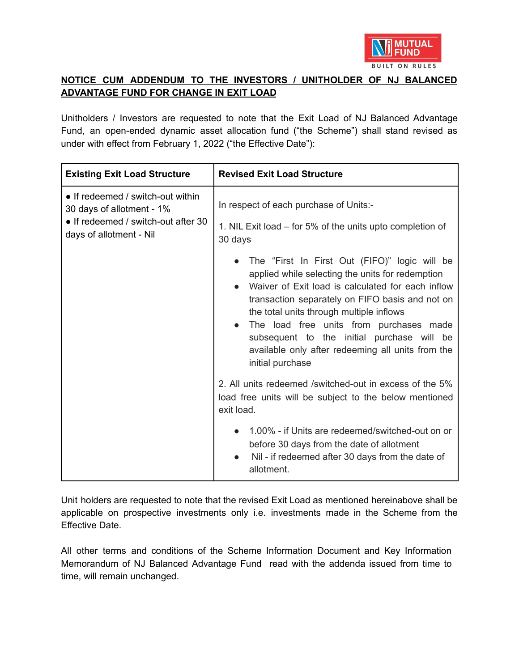

## **NOTICE CUM ADDENDUM TO THE INVESTORS / UNITHOLDER OF NJ BALANCED ADVANTAGE FUND FOR CHANGE IN EXIT LOAD**

Unitholders / Investors are requested to note that the Exit Load of NJ Balanced Advantage Fund, an open-ended dynamic asset allocation fund ("the Scheme") shall stand revised as under with effect from February 1, 2022 ("the Effective Date"):

| <b>Existing Exit Load Structure</b>                                                                                              | <b>Revised Exit Load Structure</b>                                                                                                                                                                                                                                                                                                                                                                                                 |
|----------------------------------------------------------------------------------------------------------------------------------|------------------------------------------------------------------------------------------------------------------------------------------------------------------------------------------------------------------------------------------------------------------------------------------------------------------------------------------------------------------------------------------------------------------------------------|
| • If redeemed / switch-out within<br>30 days of allotment - 1%<br>• If redeemed / switch-out after 30<br>days of allotment - Nil | In respect of each purchase of Units:-<br>1. NIL Exit load – for 5% of the units upto completion of                                                                                                                                                                                                                                                                                                                                |
|                                                                                                                                  | 30 days<br>The "First In First Out (FIFO)" logic will be<br>applied while selecting the units for redemption<br>Waiver of Exit load is calculated for each inflow<br>transaction separately on FIFO basis and not on<br>the total units through multiple inflows<br>The load free units from purchases made<br>subsequent to the initial purchase will be<br>available only after redeeming all units from the<br>initial purchase |
|                                                                                                                                  | 2. All units redeemed /switched-out in excess of the 5%<br>load free units will be subject to the below mentioned<br>exit load.                                                                                                                                                                                                                                                                                                    |
|                                                                                                                                  | 1.00% - if Units are redeemed/switched-out on or<br>before 30 days from the date of allotment<br>Nil - if redeemed after 30 days from the date of<br>allotment.                                                                                                                                                                                                                                                                    |

Unit holders are requested to note that the revised Exit Load as mentioned hereinabove shall be applicable on prospective investments only i.e. investments made in the Scheme from the Effective Date.

All other terms and conditions of the Scheme Information Document and Key Information Memorandum of NJ Balanced Advantage Fund read with the addenda issued from time to time, will remain unchanged.